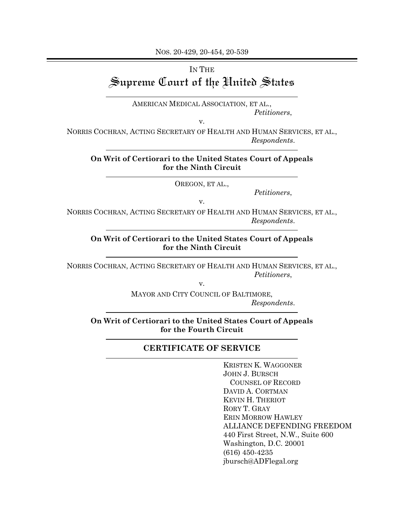NOS. 20-429, 20-454, 20-539

## IN THE Supreme Court of the United States

AMERICAN MEDICAL ASSOCIATION, ET AL., *Petitioners*,

v.

NORRIS COCHRAN, ACTING SECRETARY OF HEALTH AND HUMAN SERVICES, ET AL., *Respondents*.

## **On Writ of Certiorari to the United States Court of Appeals for the Ninth Circuit**

OREGON, ET AL.,

*Petitioners*,

NORRIS COCHRAN, ACTING SECRETARY OF HEALTH AND HUMAN SERVICES, ET AL., *Respondents*.

v.

**On Writ of Certiorari to the United States Court of Appeals for the Ninth Circuit**

NORRIS COCHRAN, ACTING SECRETARY OF HEALTH AND HUMAN SERVICES, ET AL., *Petitioners*,

v.

MAYOR AND CITY COUNCIL OF BALTIMORE, *Respondents*.

**On Writ of Certiorari to the United States Court of Appeals for the Fourth Circuit**

## **CERTIFICATE OF SERVICE**

KRISTEN K. WAGGONER JOHN J. BURSCH COUNSEL OF RECORD DAVID A. CORTMAN KEVIN H. THERIOT RORY T. GRAY ERIN MORROW HAWLEY ALLIANCE DEFENDING FREEDOM 440 First Street, N.W., Suite 600 Washington, D.C. 20001 (616) 450-4235 jbursch@ADFlegal.org